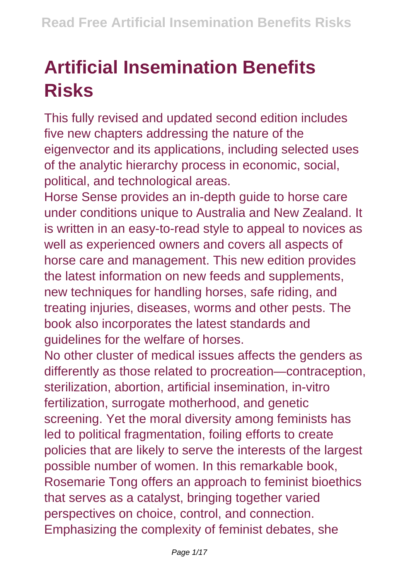## **Artificial Insemination Benefits Risks**

This fully revised and updated second edition includes five new chapters addressing the nature of the eigenvector and its applications, including selected uses of the analytic hierarchy process in economic, social, political, and technological areas.

Horse Sense provides an in-depth guide to horse care under conditions unique to Australia and New Zealand. It is written in an easy-to-read style to appeal to novices as well as experienced owners and covers all aspects of horse care and management. This new edition provides the latest information on new feeds and supplements, new techniques for handling horses, safe riding, and treating injuries, diseases, worms and other pests. The book also incorporates the latest standards and guidelines for the welfare of horses.

No other cluster of medical issues affects the genders as differently as those related to procreation—contraception, sterilization, abortion, artificial insemination, in-vitro fertilization, surrogate motherhood, and genetic screening. Yet the moral diversity among feminists has led to political fragmentation, foiling efforts to create policies that are likely to serve the interests of the largest possible number of women. In this remarkable book, Rosemarie Tong offers an approach to feminist bioethics that serves as a catalyst, bringing together varied perspectives on choice, control, and connection. Emphasizing the complexity of feminist debates, she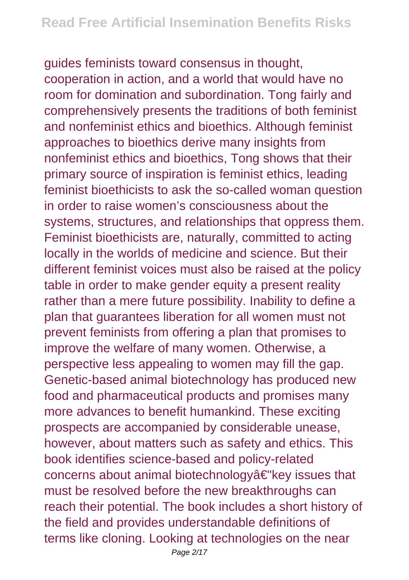guides feminists toward consensus in thought, cooperation in action, and a world that would have no room for domination and subordination. Tong fairly and comprehensively presents the traditions of both feminist and nonfeminist ethics and bioethics. Although feminist approaches to bioethics derive many insights from nonfeminist ethics and bioethics, Tong shows that their primary source of inspiration is feminist ethics, leading feminist bioethicists to ask the so-called woman question in order to raise women's consciousness about the systems, structures, and relationships that oppress them. Feminist bioethicists are, naturally, committed to acting locally in the worlds of medicine and science. But their different feminist voices must also be raised at the policy table in order to make gender equity a present reality rather than a mere future possibility. Inability to define a plan that guarantees liberation for all women must not prevent feminists from offering a plan that promises to improve the welfare of many women. Otherwise, a perspective less appealing to women may fill the gap. Genetic-based animal biotechnology has produced new food and pharmaceutical products and promises many more advances to benefit humankind. These exciting prospects are accompanied by considerable unease, however, about matters such as safety and ethics. This book identifies science-based and policy-related concerns about animal biotechnologyâ€"key issues that must be resolved before the new breakthroughs can reach their potential. The book includes a short history of the field and provides understandable definitions of terms like cloning. Looking at technologies on the near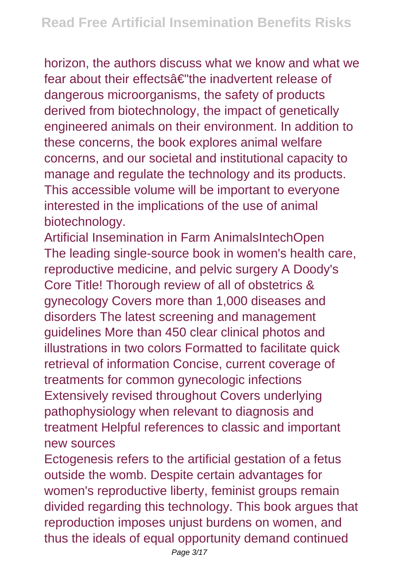horizon, the authors discuss what we know and what we fear about their effectsâ€"the inadvertent release of dangerous microorganisms, the safety of products derived from biotechnology, the impact of genetically engineered animals on their environment. In addition to these concerns, the book explores animal welfare concerns, and our societal and institutional capacity to manage and regulate the technology and its products. This accessible volume will be important to everyone interested in the implications of the use of animal biotechnology.

Artificial Insemination in Farm AnimalsIntechOpen The leading single-source book in women's health care, reproductive medicine, and pelvic surgery A Doody's Core Title! Thorough review of all of obstetrics & gynecology Covers more than 1,000 diseases and disorders The latest screening and management guidelines More than 450 clear clinical photos and illustrations in two colors Formatted to facilitate quick retrieval of information Concise, current coverage of treatments for common gynecologic infections Extensively revised throughout Covers underlying pathophysiology when relevant to diagnosis and treatment Helpful references to classic and important new sources

Ectogenesis refers to the artificial gestation of a fetus outside the womb. Despite certain advantages for women's reproductive liberty, feminist groups remain divided regarding this technology. This book argues that reproduction imposes unjust burdens on women, and thus the ideals of equal opportunity demand continued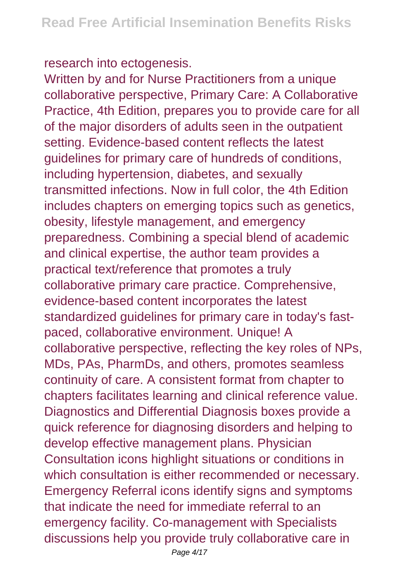research into ectogenesis.

Written by and for Nurse Practitioners from a unique collaborative perspective, Primary Care: A Collaborative Practice, 4th Edition, prepares you to provide care for all of the major disorders of adults seen in the outpatient setting. Evidence-based content reflects the latest guidelines for primary care of hundreds of conditions, including hypertension, diabetes, and sexually transmitted infections. Now in full color, the 4th Edition includes chapters on emerging topics such as genetics, obesity, lifestyle management, and emergency preparedness. Combining a special blend of academic and clinical expertise, the author team provides a practical text/reference that promotes a truly collaborative primary care practice. Comprehensive, evidence-based content incorporates the latest standardized guidelines for primary care in today's fastpaced, collaborative environment. Unique! A collaborative perspective, reflecting the key roles of NPs, MDs, PAs, PharmDs, and others, promotes seamless continuity of care. A consistent format from chapter to chapters facilitates learning and clinical reference value. Diagnostics and Differential Diagnosis boxes provide a quick reference for diagnosing disorders and helping to develop effective management plans. Physician Consultation icons highlight situations or conditions in which consultation is either recommended or necessary. Emergency Referral icons identify signs and symptoms that indicate the need for immediate referral to an emergency facility. Co-management with Specialists discussions help you provide truly collaborative care in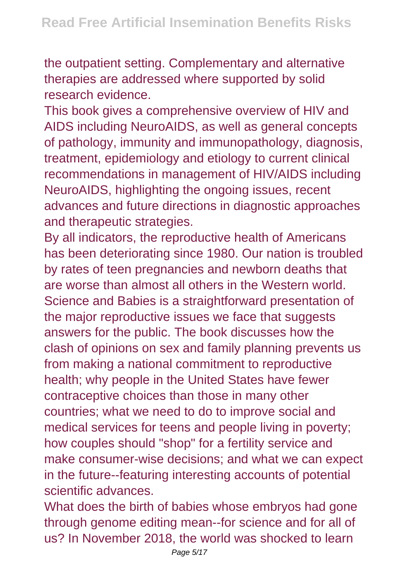the outpatient setting. Complementary and alternative therapies are addressed where supported by solid research evidence.

This book gives a comprehensive overview of HIV and AIDS including NeuroAIDS, as well as general concepts of pathology, immunity and immunopathology, diagnosis, treatment, epidemiology and etiology to current clinical recommendations in management of HIV/AIDS including NeuroAIDS, highlighting the ongoing issues, recent advances and future directions in diagnostic approaches and therapeutic strategies.

By all indicators, the reproductive health of Americans has been deteriorating since 1980. Our nation is troubled by rates of teen pregnancies and newborn deaths that are worse than almost all others in the Western world. Science and Babies is a straightforward presentation of the major reproductive issues we face that suggests answers for the public. The book discusses how the clash of opinions on sex and family planning prevents us from making a national commitment to reproductive health; why people in the United States have fewer contraceptive choices than those in many other countries; what we need to do to improve social and medical services for teens and people living in poverty; how couples should "shop" for a fertility service and make consumer-wise decisions; and what we can expect in the future--featuring interesting accounts of potential scientific advances.

What does the birth of babies whose embryos had gone through genome editing mean--for science and for all of us? In November 2018, the world was shocked to learn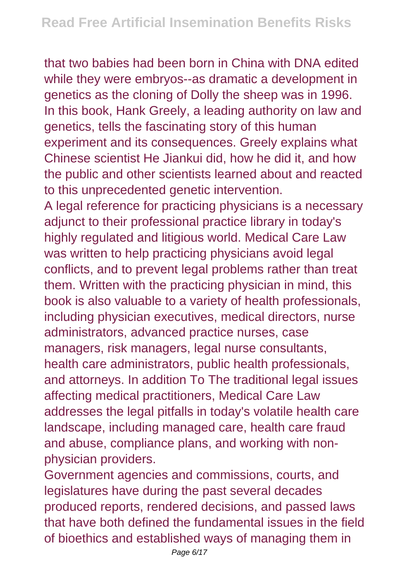that two babies had been born in China with DNA edited while they were embryos--as dramatic a development in genetics as the cloning of Dolly the sheep was in 1996. In this book, Hank Greely, a leading authority on law and genetics, tells the fascinating story of this human experiment and its consequences. Greely explains what Chinese scientist He Jiankui did, how he did it, and how the public and other scientists learned about and reacted to this unprecedented genetic intervention. A legal reference for practicing physicians is a necessary adjunct to their professional practice library in today's highly regulated and litigious world. Medical Care Law was written to help practicing physicians avoid legal conflicts, and to prevent legal problems rather than treat them. Written with the practicing physician in mind, this book is also valuable to a variety of health professionals, including physician executives, medical directors, nurse administrators, advanced practice nurses, case managers, risk managers, legal nurse consultants, health care administrators, public health professionals, and attorneys. In addition To The traditional legal issues affecting medical practitioners, Medical Care Law addresses the legal pitfalls in today's volatile health care landscape, including managed care, health care fraud and abuse, compliance plans, and working with nonphysician providers.

Government agencies and commissions, courts, and legislatures have during the past several decades produced reports, rendered decisions, and passed laws that have both defined the fundamental issues in the field of bioethics and established ways of managing them in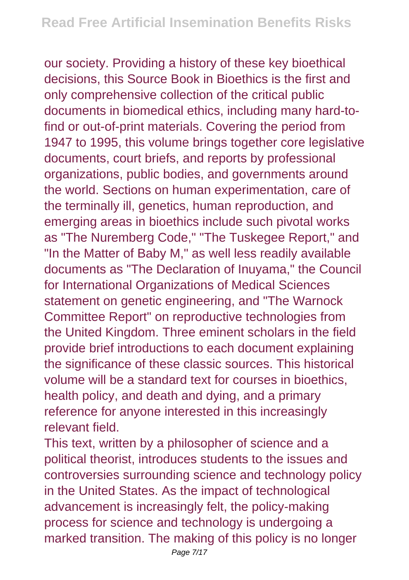our society. Providing a history of these key bioethical decisions, this Source Book in Bioethics is the first and only comprehensive collection of the critical public documents in biomedical ethics, including many hard-tofind or out-of-print materials. Covering the period from 1947 to 1995, this volume brings together core legislative documents, court briefs, and reports by professional organizations, public bodies, and governments around the world. Sections on human experimentation, care of the terminally ill, genetics, human reproduction, and emerging areas in bioethics include such pivotal works as "The Nuremberg Code," "The Tuskegee Report," and "In the Matter of Baby M," as well less readily available documents as "The Declaration of Inuyama," the Council for International Organizations of Medical Sciences statement on genetic engineering, and "The Warnock Committee Report" on reproductive technologies from the United Kingdom. Three eminent scholars in the field provide brief introductions to each document explaining the significance of these classic sources. This historical volume will be a standard text for courses in bioethics, health policy, and death and dying, and a primary reference for anyone interested in this increasingly relevant field.

This text, written by a philosopher of science and a political theorist, introduces students to the issues and controversies surrounding science and technology policy in the United States. As the impact of technological advancement is increasingly felt, the policy-making process for science and technology is undergoing a marked transition. The making of this policy is no longer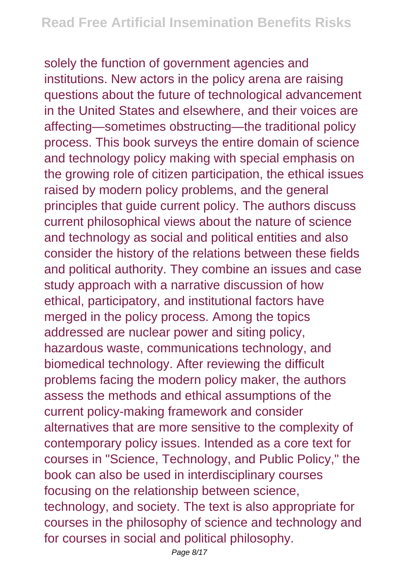solely the function of government agencies and institutions. New actors in the policy arena are raising questions about the future of technological advancement in the United States and elsewhere, and their voices are affecting—sometimes obstructing—the traditional policy process. This book surveys the entire domain of science and technology policy making with special emphasis on the growing role of citizen participation, the ethical issues raised by modern policy problems, and the general principles that guide current policy. The authors discuss current philosophical views about the nature of science and technology as social and political entities and also consider the history of the relations between these fields and political authority. They combine an issues and case study approach with a narrative discussion of how ethical, participatory, and institutional factors have merged in the policy process. Among the topics addressed are nuclear power and siting policy, hazardous waste, communications technology, and biomedical technology. After reviewing the difficult problems facing the modern policy maker, the authors assess the methods and ethical assumptions of the current policy-making framework and consider alternatives that are more sensitive to the complexity of contemporary policy issues. Intended as a core text for courses in "Science, Technology, and Public Policy," the book can also be used in interdisciplinary courses focusing on the relationship between science, technology, and society. The text is also appropriate for courses in the philosophy of science and technology and for courses in social and political philosophy.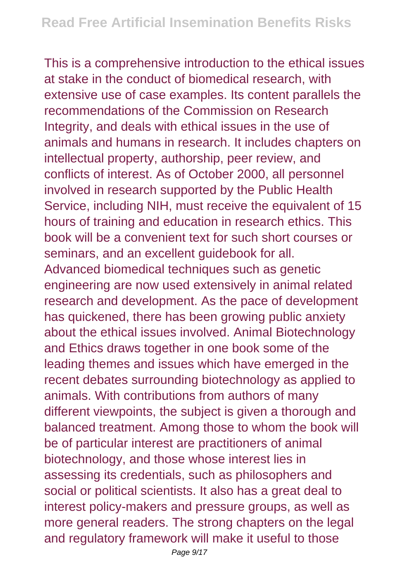This is a comprehensive introduction to the ethical issues at stake in the conduct of biomedical research, with extensive use of case examples. Its content parallels the recommendations of the Commission on Research Integrity, and deals with ethical issues in the use of animals and humans in research. It includes chapters on intellectual property, authorship, peer review, and conflicts of interest. As of October 2000, all personnel involved in research supported by the Public Health Service, including NIH, must receive the equivalent of 15 hours of training and education in research ethics. This book will be a convenient text for such short courses or seminars, and an excellent guidebook for all. Advanced biomedical techniques such as genetic engineering are now used extensively in animal related research and development. As the pace of development has quickened, there has been growing public anxiety about the ethical issues involved. Animal Biotechnology and Ethics draws together in one book some of the leading themes and issues which have emerged in the recent debates surrounding biotechnology as applied to animals. With contributions from authors of many different viewpoints, the subject is given a thorough and balanced treatment. Among those to whom the book will be of particular interest are practitioners of animal biotechnology, and those whose interest lies in assessing its credentials, such as philosophers and social or political scientists. It also has a great deal to interest policy-makers and pressure groups, as well as more general readers. The strong chapters on the legal and regulatory framework will make it useful to those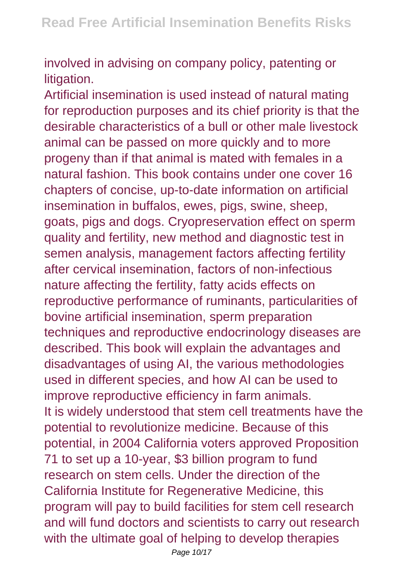involved in advising on company policy, patenting or litigation.

Artificial insemination is used instead of natural mating for reproduction purposes and its chief priority is that the desirable characteristics of a bull or other male livestock animal can be passed on more quickly and to more progeny than if that animal is mated with females in a natural fashion. This book contains under one cover 16 chapters of concise, up-to-date information on artificial insemination in buffalos, ewes, pigs, swine, sheep, goats, pigs and dogs. Cryopreservation effect on sperm quality and fertility, new method and diagnostic test in semen analysis, management factors affecting fertility after cervical insemination, factors of non-infectious nature affecting the fertility, fatty acids effects on reproductive performance of ruminants, particularities of bovine artificial insemination, sperm preparation techniques and reproductive endocrinology diseases are described. This book will explain the advantages and disadvantages of using AI, the various methodologies used in different species, and how AI can be used to improve reproductive efficiency in farm animals. It is widely understood that stem cell treatments have the potential to revolutionize medicine. Because of this potential, in 2004 California voters approved Proposition 71 to set up a 10-year, \$3 billion program to fund research on stem cells. Under the direction of the California Institute for Regenerative Medicine, this program will pay to build facilities for stem cell research and will fund doctors and scientists to carry out research with the ultimate goal of helping to develop therapies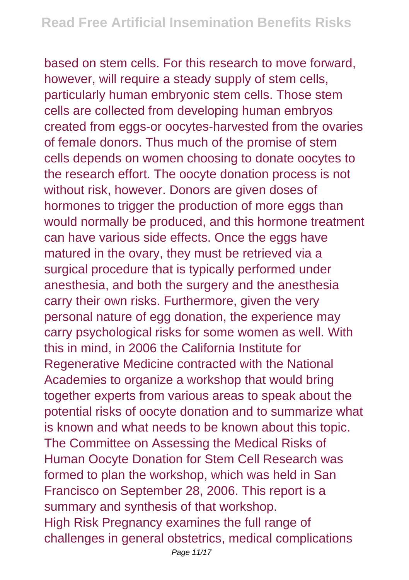based on stem cells. For this research to move forward, however, will require a steady supply of stem cells, particularly human embryonic stem cells. Those stem cells are collected from developing human embryos created from eggs-or oocytes-harvested from the ovaries of female donors. Thus much of the promise of stem cells depends on women choosing to donate oocytes to the research effort. The oocyte donation process is not without risk, however. Donors are given doses of hormones to trigger the production of more eggs than would normally be produced, and this hormone treatment can have various side effects. Once the eggs have matured in the ovary, they must be retrieved via a surgical procedure that is typically performed under anesthesia, and both the surgery and the anesthesia carry their own risks. Furthermore, given the very personal nature of egg donation, the experience may carry psychological risks for some women as well. With this in mind, in 2006 the California Institute for Regenerative Medicine contracted with the National Academies to organize a workshop that would bring together experts from various areas to speak about the potential risks of oocyte donation and to summarize what is known and what needs to be known about this topic. The Committee on Assessing the Medical Risks of Human Oocyte Donation for Stem Cell Research was formed to plan the workshop, which was held in San Francisco on September 28, 2006. This report is a summary and synthesis of that workshop. High Risk Pregnancy examines the full range of challenges in general obstetrics, medical complications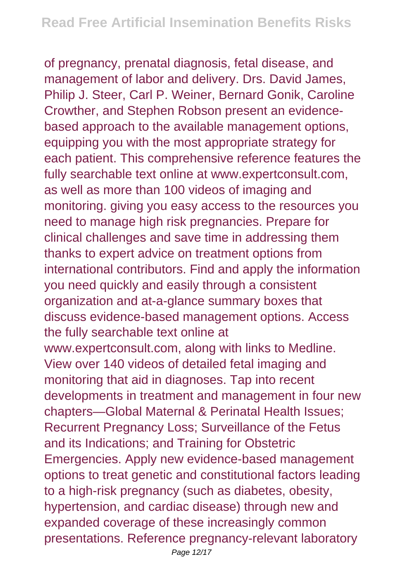of pregnancy, prenatal diagnosis, fetal disease, and management of labor and delivery. Drs. David James, Philip J. Steer, Carl P. Weiner, Bernard Gonik, Caroline Crowther, and Stephen Robson present an evidencebased approach to the available management options, equipping you with the most appropriate strategy for each patient. This comprehensive reference features the fully searchable text online at www.expertconsult.com, as well as more than 100 videos of imaging and monitoring. giving you easy access to the resources you need to manage high risk pregnancies. Prepare for clinical challenges and save time in addressing them thanks to expert advice on treatment options from international contributors. Find and apply the information you need quickly and easily through a consistent organization and at-a-glance summary boxes that discuss evidence-based management options. Access the fully searchable text online at www.expertconsult.com, along with links to Medline. View over 140 videos of detailed fetal imaging and monitoring that aid in diagnoses. Tap into recent developments in treatment and management in four new chapters—Global Maternal & Perinatal Health Issues; Recurrent Pregnancy Loss; Surveillance of the Fetus and its Indications; and Training for Obstetric Emergencies. Apply new evidence-based management options to treat genetic and constitutional factors leading to a high-risk pregnancy (such as diabetes, obesity, hypertension, and cardiac disease) through new and expanded coverage of these increasingly common presentations. Reference pregnancy-relevant laboratory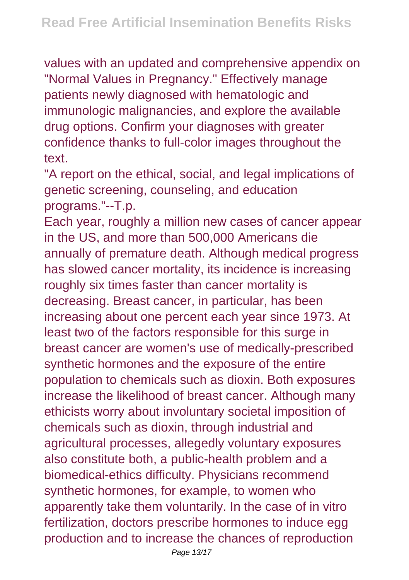values with an updated and comprehensive appendix on "Normal Values in Pregnancy." Effectively manage patients newly diagnosed with hematologic and immunologic malignancies, and explore the available drug options. Confirm your diagnoses with greater confidence thanks to full-color images throughout the text.

"A report on the ethical, social, and legal implications of genetic screening, counseling, and education programs."--T.p.

Each year, roughly a million new cases of cancer appear in the US, and more than 500,000 Americans die annually of premature death. Although medical progress has slowed cancer mortality, its incidence is increasing roughly six times faster than cancer mortality is decreasing. Breast cancer, in particular, has been increasing about one percent each year since 1973. At least two of the factors responsible for this surge in breast cancer are women's use of medically-prescribed synthetic hormones and the exposure of the entire population to chemicals such as dioxin. Both exposures increase the likelihood of breast cancer. Although many ethicists worry about involuntary societal imposition of chemicals such as dioxin, through industrial and agricultural processes, allegedly voluntary exposures also constitute both, a public-health problem and a biomedical-ethics difficulty. Physicians recommend synthetic hormones, for example, to women who apparently take them voluntarily. In the case of in vitro fertilization, doctors prescribe hormones to induce egg production and to increase the chances of reproduction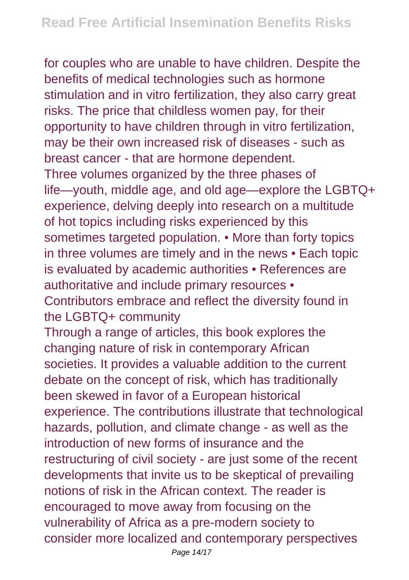for couples who are unable to have children. Despite the benefits of medical technologies such as hormone stimulation and in vitro fertilization, they also carry great risks. The price that childless women pay, for their opportunity to have children through in vitro fertilization, may be their own increased risk of diseases - such as breast cancer - that are hormone dependent. Three volumes organized by the three phases of life—youth, middle age, and old age—explore the LGBTQ+ experience, delving deeply into research on a multitude of hot topics including risks experienced by this sometimes targeted population. • More than forty topics in three volumes are timely and in the news • Each topic is evaluated by academic authorities • References are authoritative and include primary resources • Contributors embrace and reflect the diversity found in the LGBTQ+ community Through a range of articles, this book explores the changing nature of risk in contemporary African societies. It provides a valuable addition to the current debate on the concept of risk, which has traditionally been skewed in favor of a European historical experience. The contributions illustrate that technological hazards, pollution, and climate change - as well as the introduction of new forms of insurance and the restructuring of civil society - are just some of the recent developments that invite us to be skeptical of prevailing notions of risk in the African context. The reader is encouraged to move away from focusing on the vulnerability of Africa as a pre-modern society to consider more localized and contemporary perspectives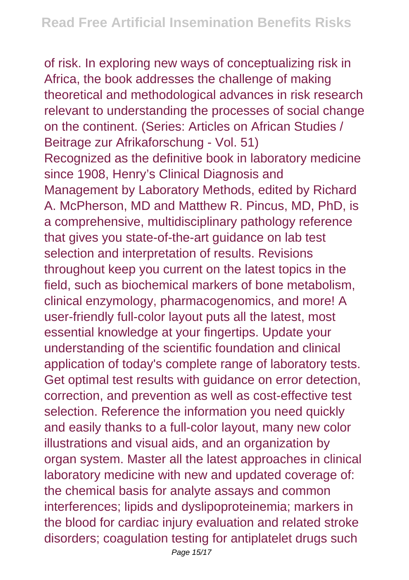of risk. In exploring new ways of conceptualizing risk in Africa, the book addresses the challenge of making theoretical and methodological advances in risk research relevant to understanding the processes of social change on the continent. (Series: Articles on African Studies / Beitrage zur Afrikaforschung - Vol. 51) Recognized as the definitive book in laboratory medicine since 1908, Henry's Clinical Diagnosis and Management by Laboratory Methods, edited by Richard A. McPherson, MD and Matthew R. Pincus, MD, PhD, is a comprehensive, multidisciplinary pathology reference that gives you state-of-the-art guidance on lab test selection and interpretation of results. Revisions throughout keep you current on the latest topics in the field, such as biochemical markers of bone metabolism, clinical enzymology, pharmacogenomics, and more! A user-friendly full-color layout puts all the latest, most essential knowledge at your fingertips. Update your understanding of the scientific foundation and clinical application of today's complete range of laboratory tests. Get optimal test results with guidance on error detection, correction, and prevention as well as cost-effective test selection. Reference the information you need quickly and easily thanks to a full-color layout, many new color illustrations and visual aids, and an organization by organ system. Master all the latest approaches in clinical laboratory medicine with new and updated coverage of: the chemical basis for analyte assays and common interferences; lipids and dyslipoproteinemia; markers in the blood for cardiac injury evaluation and related stroke disorders; coagulation testing for antiplatelet drugs such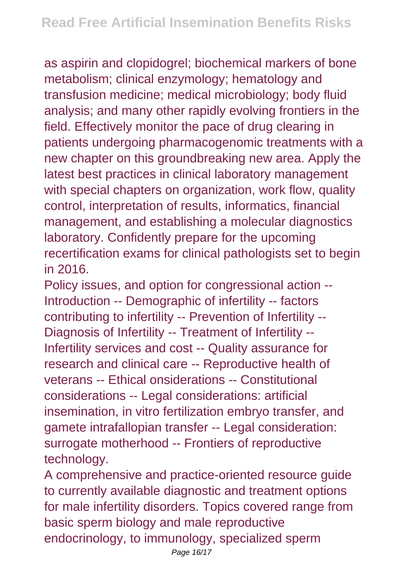as aspirin and clopidogrel; biochemical markers of bone metabolism; clinical enzymology; hematology and transfusion medicine; medical microbiology; body fluid analysis; and many other rapidly evolving frontiers in the field. Effectively monitor the pace of drug clearing in patients undergoing pharmacogenomic treatments with a new chapter on this groundbreaking new area. Apply the latest best practices in clinical laboratory management with special chapters on organization, work flow, quality control, interpretation of results, informatics, financial management, and establishing a molecular diagnostics laboratory. Confidently prepare for the upcoming recertification exams for clinical pathologists set to begin in 2016.

Policy issues, and option for congressional action -- Introduction -- Demographic of infertility -- factors contributing to infertility -- Prevention of Infertility -- Diagnosis of Infertility -- Treatment of Infertility -- Infertility services and cost -- Quality assurance for research and clinical care -- Reproductive health of veterans -- Ethical onsiderations -- Constitutional considerations -- Legal considerations: artificial insemination, in vitro fertilization embryo transfer, and gamete intrafallopian transfer -- Legal consideration: surrogate motherhood -- Frontiers of reproductive technology.

A comprehensive and practice-oriented resource guide to currently available diagnostic and treatment options for male infertility disorders. Topics covered range from basic sperm biology and male reproductive endocrinology, to immunology, specialized sperm